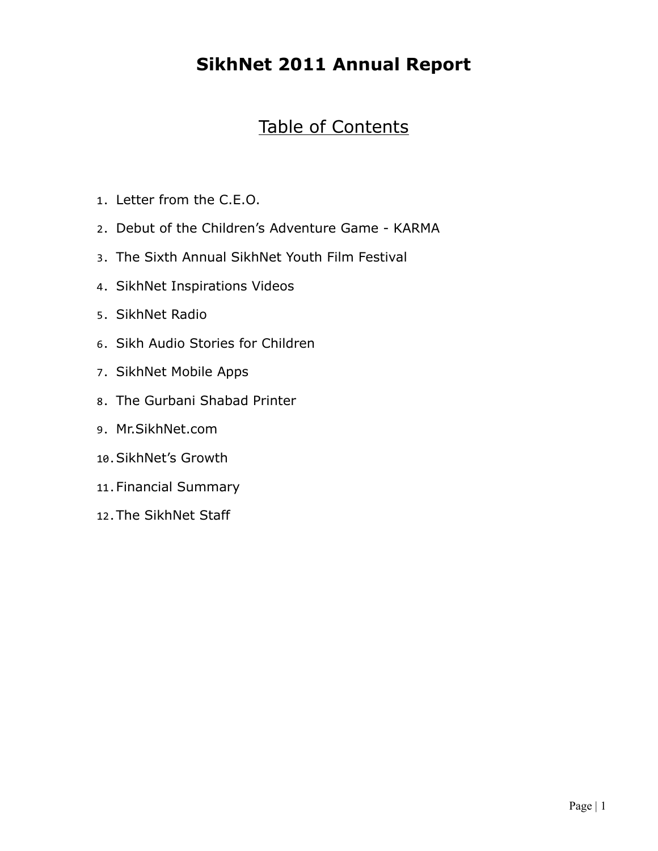## **SikhNet 2011 Annual Report**

## Table of Contents

- 1. Letter from the C.E.O.
- 2. Debut of the Children's Adventure Game KARMA
- 3. The Sixth Annual SikhNet Youth Film Festival
- 4. SikhNet Inspirations Videos
- 5. SikhNet Radio
- 6. Sikh Audio Stories for Children
- 7. SikhNet Mobile Apps
- 8. The Gurbani Shabad Printer
- 9. Mr.SikhNet.com
- 10.SikhNet's Growth
- 11.Financial Summary
- 12.The SikhNet Staff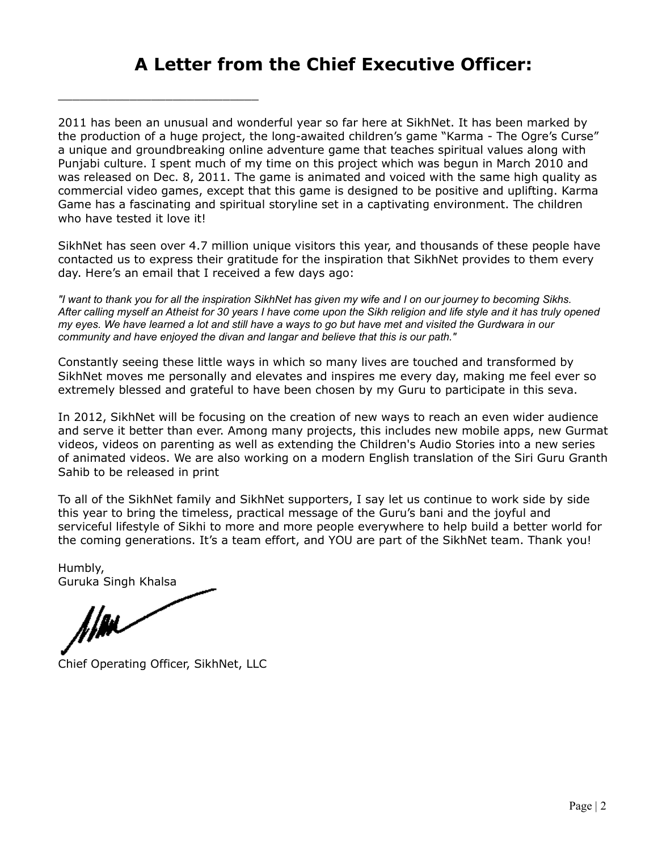### **A Letter from the Chief Executive Officer:**

2011 has been an unusual and wonderful year so far here at SikhNet. It has been marked by the production of a huge project, the long-awaited children's game "Karma - The Ogre's Curse" a unique and groundbreaking online adventure game that teaches spiritual values along with Punjabi culture. I spent much of my time on this project which was begun in March 2010 and was released on Dec. 8, 2011. The game is animated and voiced with the same high quality as commercial video games, except that this game is designed to be positive and uplifting. Karma Game has a fascinating and spiritual storyline set in a captivating environment. The children who have tested it love it!

SikhNet has seen over 4.7 million unique visitors this year, and thousands of these people have contacted us to express their gratitude for the inspiration that SikhNet provides to them every day. Here's an email that I received a few days ago:

*"I want to thank you for all the inspiration SikhNet has given my wife and I on our journey to becoming Sikhs. After calling myself an Atheist for 30 years I have come upon the Sikh religion and life style and it has truly opened my eyes. We have learned a lot and still have a ways to go but have met and visited the Gurdwara in our community and have enjoyed the divan and langar and believe that this is our path."*

Constantly seeing these little ways in which so many lives are touched and transformed by SikhNet moves me personally and elevates and inspires me every day, making me feel ever so extremely blessed and grateful to have been chosen by my Guru to participate in this seva.

In 2012, SikhNet will be focusing on the creation of new ways to reach an even wider audience and serve it better than ever. Among many projects, this includes new mobile apps, new Gurmat videos, videos on parenting as well as extending the Children's Audio Stories into a new series of animated videos. We are also working on a modern English translation of the Siri Guru Granth Sahib to be released in print

To all of the SikhNet family and SikhNet supporters, I say let us continue to work side by side this year to bring the timeless, practical message of the Guru's bani and the joyful and serviceful lifestyle of Sikhi to more and more people everywhere to help build a better world for the coming generations. It's a team effort, and YOU are part of the SikhNet team. Thank you!

Humbly, Guruka Singh Khalsa

film

Chief Operating Officer, SikhNet, LLC

\_\_\_\_\_\_\_\_\_\_\_\_\_\_\_\_\_\_\_\_\_\_\_\_\_\_\_\_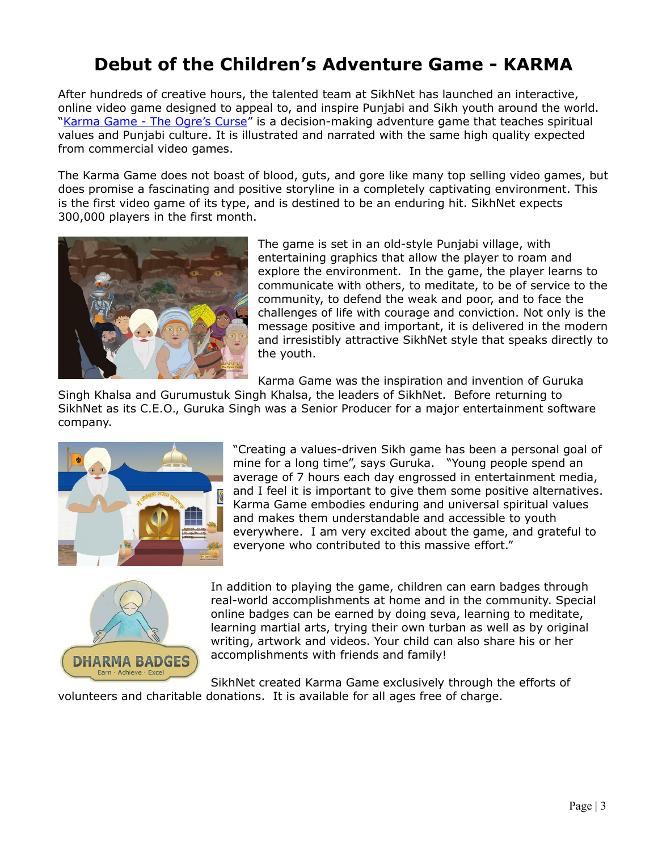# **Debut of the Children's Adventure Game - KARMA**

After hundreds of creative hours, the talented team at SikhNet has launched an interactive, online video game designed to appeal to, and inspire Punjabi and Sikh youth around the world. ["Karma Game - The Ogre's Curse"](http://www.sikhnet.com/karmagame) is a decision-making adventure game that teaches spiritual values and Punjabi culture. It is illustrated and narrated with the same high quality expected from commercial video games.

The Karma Game does not boast of blood, guts, and gore like many top selling video games, but does promise a fascinating and positive storyline in a completely captivating environment. This is the first video game of its type, and is destined to be an enduring hit. SikhNet expects 300,000 players in the first month.



The game is set in an old-style Punjabi village, with entertaining graphics that allow the player to roam and explore the environment. In the game, the player learns to communicate with others, to meditate, to be of service to the community, to defend the weak and poor, and to face the challenges of life with courage and conviction. Not only is the message positive and important, it is delivered in the modern and irresistibly attractive SikhNet style that speaks directly to the youth.

Karma Game was the inspiration and invention of Guruka

Singh Khalsa and Gurumustuk Singh Khalsa, the leaders of SikhNet. Before returning to SikhNet as its C.E.O., Guruka Singh was a Senior Producer for a major entertainment software company.



"Creating a values-driven Sikh game has been a personal goal of mine for a long time", says Guruka. "Young people spend an average of 7 hours each day engrossed in entertainment media, and I feel it is important to give them some positive alternatives. Karma Game embodies enduring and universal spiritual values and makes them understandable and accessible to youth everywhere. I am very excited about the game, and grateful to everyone who contributed to this massive effort."



In addition to playing the game, children can earn badges through real-world accomplishments at home and in the community. Special online badges can be earned by doing seva, learning to meditate, learning martial arts, trying their own turban as well as by original writing, artwork and videos. Your child can also share his or her accomplishments with friends and family!

SikhNet created Karma Game exclusively through the efforts of volunteers and charitable donations. It is available for all ages free of charge.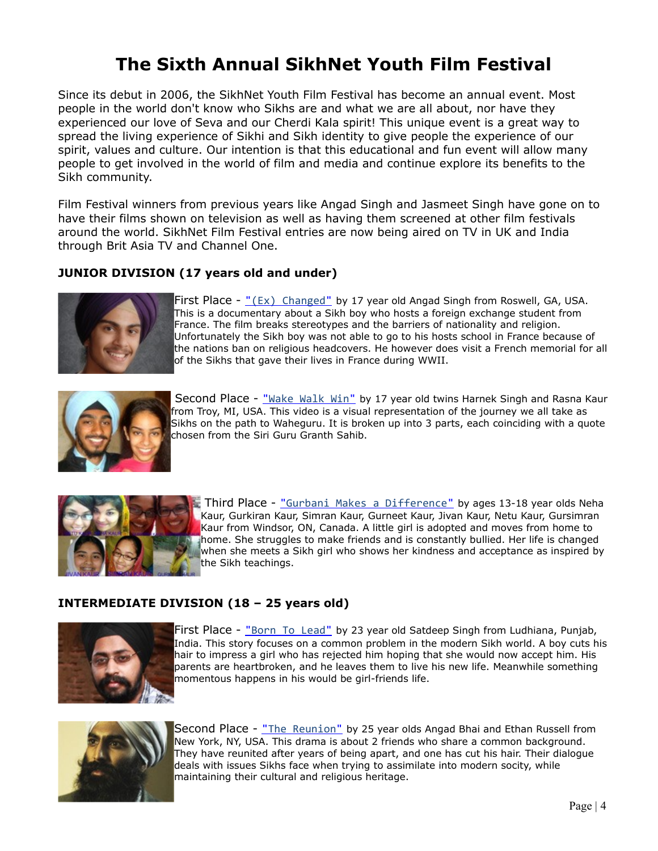## **The Sixth Annual SikhNet Youth Film Festival**

Since its debut in 2006, the SikhNet Youth Film Festival has become an annual event. Most people in the world don't know who Sikhs are and what we are all about, nor have they experienced our love of Seva and our Cherdi Kala spirit! This unique event is a great way to spread the living experience of Sikhi and Sikh identity to give people the experience of our spirit, values and culture. Our intention is that this educational and fun event will allow many people to get involved in the world of film and media and continue explore its benefits to the Sikh community.

Film Festival winners from previous years like Angad Singh and Jasmeet Singh have gone on to have their films shown on television as well as having them screened at other film festivals around the world. SikhNet Film Festival entries are now being aired on TV in UK and India through Brit Asia TV and Channel One.

### **JUNIOR DIVISION (17 years old and under)**



First Place -  $\frac{1}{2}(Ex)$  Changed" by 17 year old Angad Singh from Roswell, GA, USA. This is a documentary about a Sikh boy who hosts a foreign exchange student from France. The film breaks stereotypes and the barriers of nationality and religion. Unfortunately the Sikh boy was not able to go to his hosts school in France because of the nations ban on religious headcovers. He however does visit a French memorial for all of the Sikhs that gave their lives in France during WWII.



Second Place - "Wake Walk Win" by 17 year old twins Harnek Singh and Rasna Kaur from Troy, MI, USA. This video is a visual representation of the journey we all take as Sikhs on the path to Waheguru. It is broken up into 3 parts, each coinciding with a quote chosen from the Siri Guru Granth Sahib.



Third Place - [" Gurbani Makes a Difference"](http://www.sikhnet.com/filmfestival/2011/gurbani-makes-a-difference/) by ages 13-18 year olds Neha Kaur, Gurkiran Kaur, Simran Kaur, Gurneet Kaur, Jivan Kaur, Netu Kaur, Gursimran Kaur from Windsor, ON, Canada. A little girl is adopted and moves from home to home. She struggles to make friends and is constantly bullied. Her life is changed when she meets a Sikh girl who shows her kindness and acceptance as inspired by the Sikh teachings.

### **INTERMEDIATE DIVISION (18 – 25 years old)**



First Place - "Born To Lead" by 23 year old Satdeep Singh from Ludhiana, Punjab, India. This story focuses on a common problem in the modern Sikh world. A boy cuts his hair to impress a girl who has rejected him hoping that she would now accept him. His parents are heartbroken, and he leaves them to live his new life. Meanwhile something momentous happens in his would be girl-friends life.



Second Place - [" The Reunion"](http://www.sikhnet.com/filmfestival/2011/the-reunion/) by 25 year olds Angad Bhai and Ethan Russell from New York, NY, USA. This drama is about 2 friends who share a common background. They have reunited after years of being apart, and one has cut his hair. Their dialogue deals with issues Sikhs face when trying to assimilate into modern socity, while maintaining their cultural and religious heritage.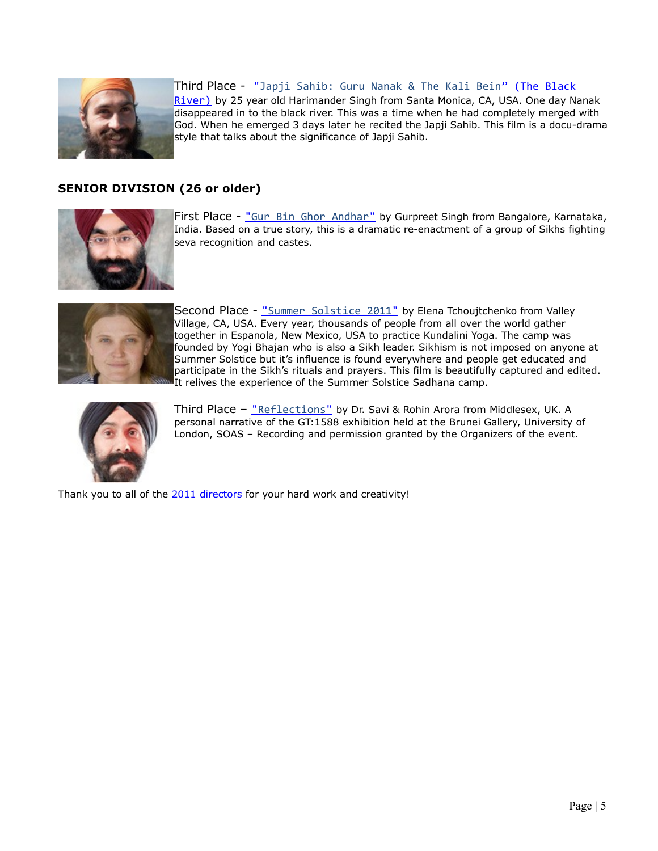

Third Place - <u>"Japji Sahib: Guru Nanak & The Kali Bein" (The Black </u>

[River\)](http://www.sikhnet.com/filmfestival/2011/japji-sahib-guru-nanak-the-kali-bein-the-black-river/) by 25 year old Harimander Singh from Santa Monica, CA, USA. One day Nanak disappeared in to the black river. This was a time when he had completely merged with God. When he emerged 3 days later he recited the Japji Sahib. This film is a docu-drama style that talks about the significance of Japji Sahib.

### **SENIOR DIVISION (26 or older)**



First Place - "Gur Bin Ghor Andhar" by Gurpreet Singh from Bangalore, Karnataka, India. Based on a true story, this is a dramatic re-enactment of a group of Sikhs fighting seva recognition and castes.



Second Place - "Summer Solstice 2011" by Elena Tchoujtchenko from Valley Village, CA, USA. Every year, thousands of people from all over the world gather together in Espanola, New Mexico, USA to practice Kundalini Yoga. The camp was founded by Yogi Bhajan who is also a Sikh leader. Sikhism is not imposed on anyone at Summer Solstice but it's influence is found everywhere and people get educated and participate in the Sikh's rituals and prayers. This film is beautifully captured and edited. It relives the experience of the Summer Solstice Sadhana camp.



Third Place - "Reflections" by Dr. Savi & Rohin Arora from Middlesex, UK. A personal narrative of the GT:1588 exhibition held at the Brunei Gallery, University of London, SOAS – Recording and permission granted by the Organizers of the event.

Thank you to all of the [2011 directors](http://www.sikhnet.com/filmfestival/2011/) for your hard work and creativity!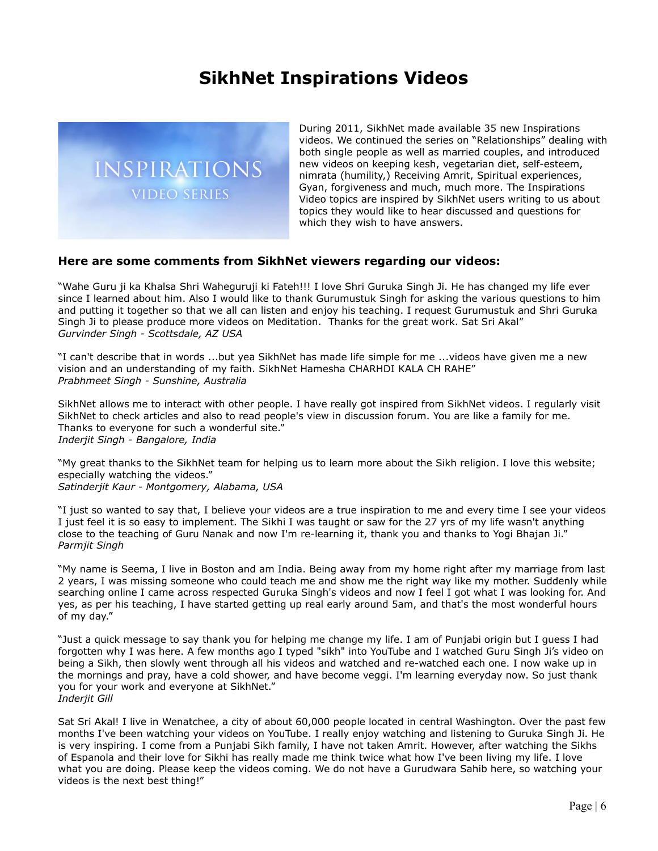### **SikhNet Inspirations Videos**



During 2011, SikhNet made available 35 new Inspirations videos. We continued the series on "Relationships" dealing with both single people as well as married couples, and introduced new videos on keeping kesh, vegetarian diet, self-esteem, nimrata (humility,) Receiving Amrit, Spiritual experiences, Gyan, forgiveness and much, much more. The Inspirations Video topics are inspired by SikhNet users writing to us about topics they would like to hear discussed and questions for which they wish to have answers.

#### **Here are some comments from SikhNet viewers regarding our videos:**

"Wahe Guru ji ka Khalsa Shri Waheguruji ki Fateh!!! I love Shri Guruka Singh Ji. He has changed my life ever since I learned about him. Also I would like to thank Gurumustuk Singh for asking the various questions to him and putting it together so that we all can listen and enjoy his teaching. I request Gurumustuk and Shri Guruka Singh Ji to please produce more videos on Meditation. Thanks for the great work. Sat Sri Akal" *Gurvinder Singh - Scottsdale, AZ USA*

"I can't describe that in words ...but yea SikhNet has made life simple for me ...videos have given me a new vision and an understanding of my faith. SikhNet Hamesha CHARHDI KALA CH RAHE" *Prabhmeet Singh - Sunshine, Australia*

SikhNet allows me to interact with other people. I have really got inspired from SikhNet videos. I regularly visit SikhNet to check articles and also to read people's view in discussion forum. You are like a family for me. Thanks to everyone for such a wonderful site." *Inderjit Singh - Bangalore, India*

"My great thanks to the SikhNet team for helping us to learn more about the Sikh religion. I love this website; especially watching the videos." *Satinderjit Kaur - Montgomery, Alabama, USA*

"I just so wanted to say that, I believe your videos are a true inspiration to me and every time I see your videos I just feel it is so easy to implement. The Sikhi I was taught or saw for the 27 yrs of my life wasn't anything close to the teaching of Guru Nanak and now I'm re-learning it, thank you and thanks to Yogi Bhajan Ji." *Parmjit Singh*

"My name is Seema, I live in Boston and am India. Being away from my home right after my marriage from last 2 years, I was missing someone who could teach me and show me the right way like my mother. Suddenly while searching online I came across respected Guruka Singh's videos and now I feel I got what I was looking for. And yes, as per his teaching, I have started getting up real early around 5am, and that's the most wonderful hours of my day."

"Just a quick message to say thank you for helping me change my life. I am of Punjabi origin but I guess I had forgotten why I was here. A few months ago I typed "sikh" into YouTube and I watched Guru Singh Ji's video on being a Sikh, then slowly went through all his videos and watched and re-watched each one. I now wake up in the mornings and pray, have a cold shower, and have become veggi. I'm learning everyday now. So just thank you for your work and everyone at SikhNet." *Inderjit Gill*

Sat Sri Akal! I live in Wenatchee, a city of about 60,000 people located in central Washington. Over the past few months I've been watching your videos on YouTube. I really enjoy watching and listening to Guruka Singh Ji. He is very inspiring. I come from a Punjabi Sikh family, I have not taken Amrit. However, after watching the Sikhs of Espanola and their love for Sikhi has really made me think twice what how I've been living my life. I love what you are doing. Please keep the videos coming. We do not have a Gurudwara Sahib here, so watching your videos is the next best thing!"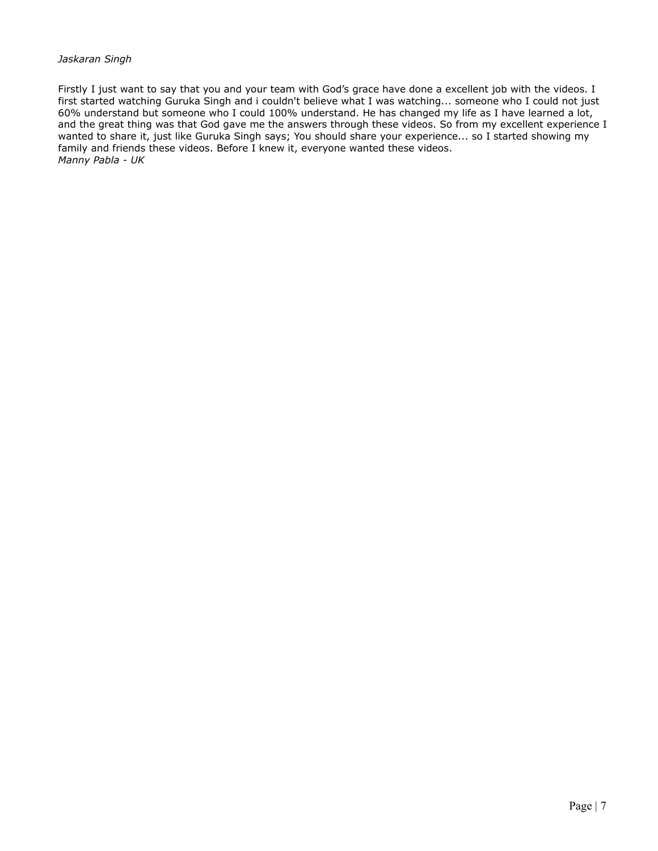#### *Jaskaran Singh*

Firstly I just want to say that you and your team with God's grace have done a excellent job with the videos. I first started watching Guruka Singh and i couldn't believe what I was watching... someone who I could not just 60% understand but someone who I could 100% understand. He has changed my life as I have learned a lot, and the great thing was that God gave me the answers through these videos. So from my excellent experience I wanted to share it, just like Guruka Singh says; You should share your experience... so I started showing my family and friends these videos. Before I knew it, everyone wanted these videos. *Manny Pabla - UK*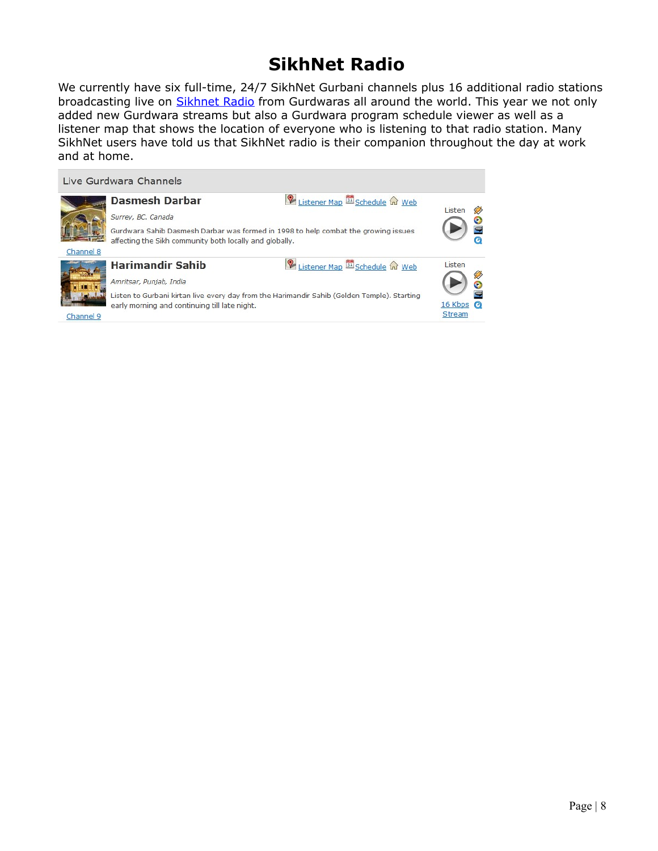## **SikhNet Radio**

We currently have six full-time, 24/7 SikhNet Gurbani channels plus 16 additional radio stations broadcasting live on [Sikhnet Radio](http://www.sikhnet.com/radio) from Gurdwaras all around the world. This year we not only added new Gurdwara streams but also a Gurdwara program schedule viewer as well as a listener map that shows the location of everyone who is listening to that radio station. Many SikhNet users have told us that SikhNet radio is their companion throughout the day at work and at home.

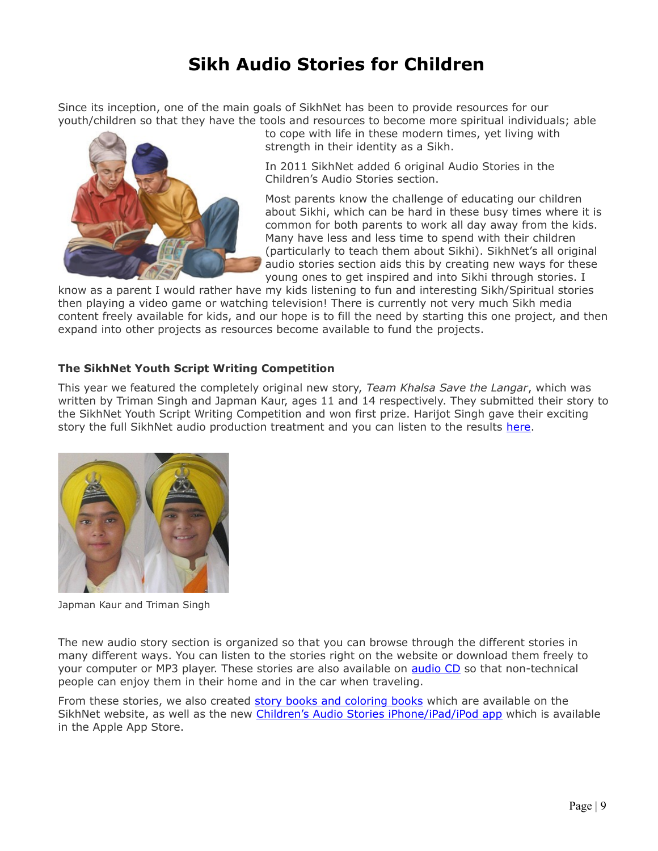# **Sikh Audio Stories for Children**

Since its inception, one of the main goals of SikhNet has been to provide resources for our youth/children so that they have the tools and resources to become more spiritual individuals; able



to cope with life in these modern times, yet living with strength in their identity as a Sikh.

In 2011 SikhNet added 6 original Audio Stories in the Children's Audio Stories section.

Most parents know the challenge of educating our children about Sikhi, which can be hard in these busy times where it is common for both parents to work all day away from the kids. Many have less and less time to spend with their children (particularly to teach them about Sikhi). SikhNet's all original audio stories section aids this by creating new ways for these young ones to get inspired and into Sikhi through stories. I

know as a parent I would rather have my kids listening to fun and interesting Sikh/Spiritual stories then playing a video game or watching television! There is currently not very much Sikh media content freely available for kids, and our hope is to fill the need by starting this one project, and then expand into other projects as resources become available to fund the projects.

### **The SikhNet Youth Script Writing Competition**

This year we featured the completely original new story, *Team Khalsa Save the Langar*, which was written by Triman Singh and Japman Kaur, ages 11 and 14 respectively. They submitted their story to the SikhNet Youth Script Writing Competition and won first prize. Harijot Singh gave their exciting story the full SikhNet audio production treatment and you can listen to the results [here.](http://www.sikhnet.com/audio/team-khalsa-save-langar)



Japman Kaur and Triman Singh

The new audio story section is organized so that you can browse through the different stories in many different ways. You can listen to the stories right on the website or download them freely to your computer or MP3 player. These stories are also available on **audio CD** so that non-technical people can enjoy them in their home and in the car when traveling.

From these stories, we also created [story books and coloring books](http://www.sikhnet.com/pages/childrens-stories-cds-and-book) which are available on the SikhNet website, as well as the new [Children's Audio Stories iPhone/iPad/iPod app](http://itunes.apple.com/app/sikhnet-audio-stories-for/id482875486) which is available in the Apple App Store.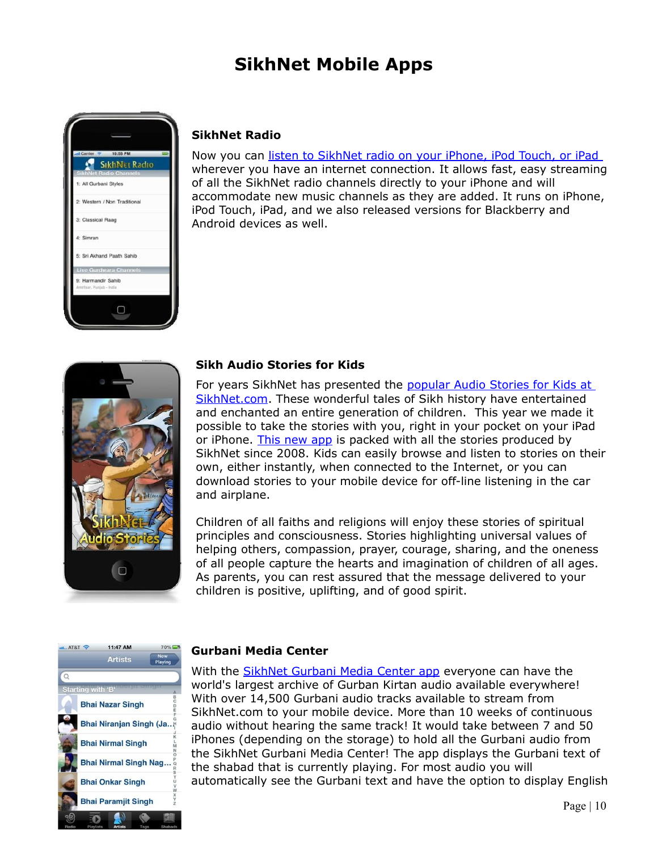# **SikhNet Mobile Apps**



### **SikhNet Radio**

Now you can [listen to SikhNet radio on your iPhone, iPod Touch, or iPad](http://itunes.apple.com/app/sikhnet-radio/id337138264?mt=8) wherever you have an internet connection. It allows fast, easy streaming of all the SikhNet radio channels directly to your iPhone and will accommodate new music channels as they are added. It runs on iPhone, iPod Touch, iPad, and we also released versions for Blackberry and Android devices as well.



#### **Sikh Audio Stories for Kids**

For years SikhNet has presented the [popular Audio Stories for Kids at](http://www.sikhnet.com/stories) [SikhNet.com.](http://www.sikhnet.com/stories) These wonderful tales of Sikh history have entertained and enchanted an entire generation of children. This year we made it possible to take the stories with you, right in your pocket on your iPad or iPhone. [This new app](http://itunes.apple.com/app/sikhnet-audio-stories-for/id482875486) is packed with all the stories produced by SikhNet since 2008. Kids can easily browse and listen to stories on their own, either instantly, when connected to the Internet, or you can download stories to your mobile device for off-line listening in the car and airplane.

Children of all faiths and religions will enjoy these stories of spiritual principles and consciousness. Stories highlighting universal values of helping others, compassion, prayer, courage, sharing, and the oneness of all people capture the hearts and imagination of children of all ages. As parents, you can rest assured that the message delivered to your children is positive, uplifting, and of good spirit.



#### **Gurbani Media Center**

With the **SikhNet Gurbani Media Center app** everyone can have the world's largest archive of Gurban Kirtan audio available everywhere! With over 14,500 Gurbani audio tracks available to stream from SikhNet.com to your mobile device. More than 10 weeks of continuous audio without hearing the same track! It would take between 7 and 50 iPhones (depending on the storage) to hold all the Gurbani audio from the SikhNet Gurbani Media Center! The app displays the Gurbani text of the shabad that is currently playing. For most audio you will automatically see the Gurbani text and have the option to display English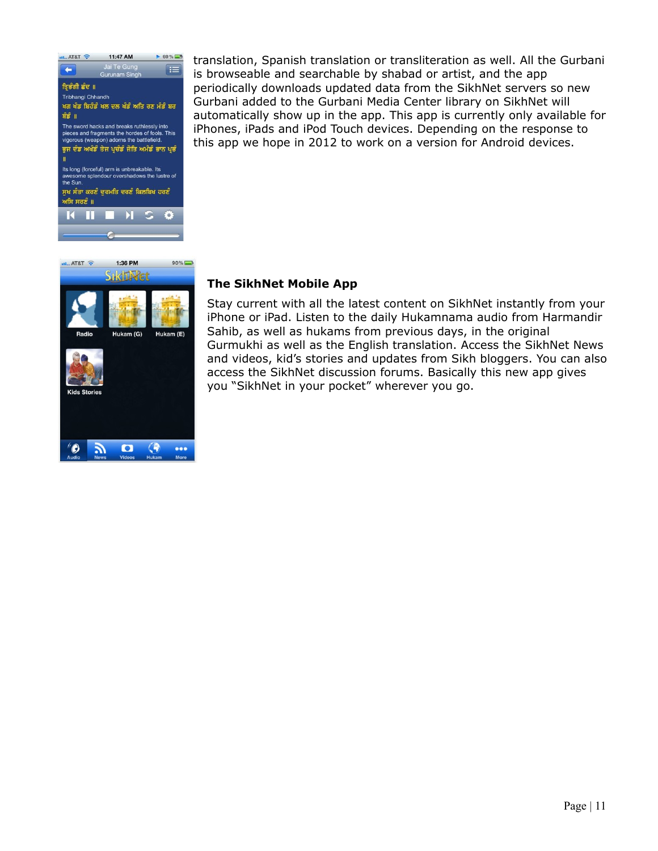



translation, Spanish translation or transliteration as well. All the Gurbani is browseable and searchable by shabad or artist, and the app periodically downloads updated data from the SikhNet servers so new Gurbani added to the Gurbani Media Center library on SikhNet will automatically show up in the app. This app is currently only available for iPhones, iPads and iPod Touch devices. Depending on the response to this app we hope in 2012 to work on a version for Android devices.

### **The SikhNet Mobile App**

Stay current with all the latest content on SikhNet instantly from your iPhone or iPad. Listen to the daily Hukamnama audio from Harmandir Sahib, as well as hukams from previous days, in the original Gurmukhi as well as the English translation. Access the SikhNet News and videos, kid's stories and updates from Sikh bloggers. You can also access the SikhNet discussion forums. Basically this new app gives you "SikhNet in your pocket" wherever you go.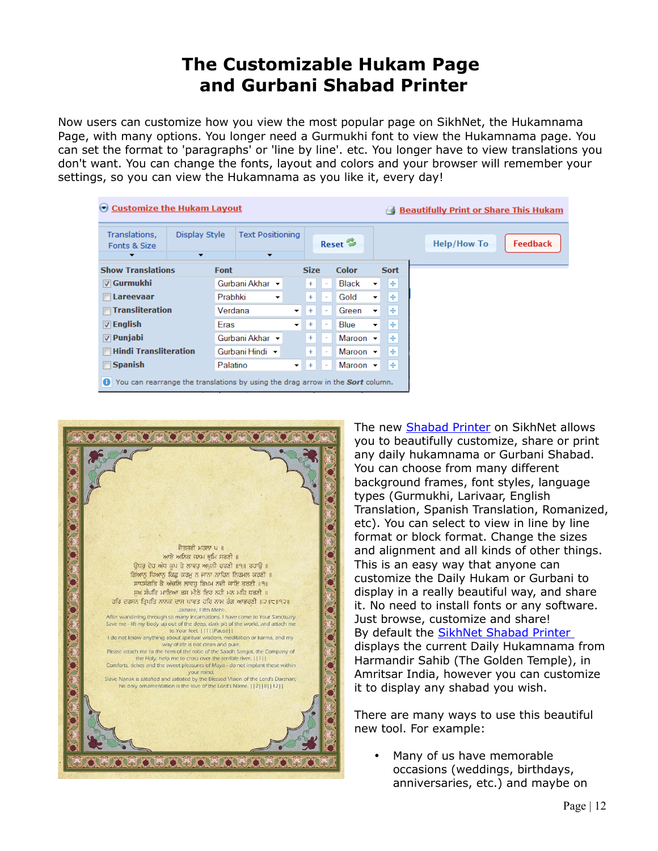## **The Customizable Hukam Page and Gurbani Shabad Printer**

Now users can customize how you view the most popular page on SikhNet, the Hukamnama Page, with many options. You longer need a Gurmukhi font to view the Hukamnama page. You can set the format to 'paragraphs' or 'line by line'. etc. You longer have to view translations you don't want. You can change the fonts, layout and colors and your browser will remember your settings, so you can view the Hukamnama as you like it, every day!

| ◯ Customize the Hukam Layout                                                               |                                           |                                                     |             |                                 |                              |                                 |  |                    | <b>Beautifully Print or Share This Hukam</b> |
|--------------------------------------------------------------------------------------------|-------------------------------------------|-----------------------------------------------------|-------------|---------------------------------|------------------------------|---------------------------------|--|--------------------|----------------------------------------------|
| Translations,<br>Fonts & Size<br>▼                                                         | Display Style<br>$\overline{\phantom{a}}$ | <b>Text Positioning</b><br>$\overline{\phantom{a}}$ |             |                                 | Reset $\approx$              |                                 |  | <b>Help/How To</b> | <b>Feedback</b>                              |
| <b>Show Translations</b>                                                                   | Font                                      |                                                     |             | <b>Size</b>                     | <b>Color</b>                 | <b>Sort</b>                     |  |                    |                                              |
| $\triangledown$ Gurmukhi                                                                   |                                           | Gurbani Akhar                                       |             | $+$                             | <b>Black</b>                 | l⊕.<br>۰                        |  |                    |                                              |
| Lareevaar                                                                                  | Prabhki                                   | $\overline{\phantom{a}}$                            |             | $+$<br>$\overline{\phantom{a}}$ | Gold                         | $\ddot{\textbf{r}}$<br>÷        |  |                    |                                              |
| <b><del>■ Transliteration</del></b>                                                        | Verdana                                   |                                                     | $+$         | ٠                               | Green                        | l ÷<br>$\overline{\phantom{a}}$ |  |                    |                                              |
| $\triangledown$ English                                                                    | Eras                                      |                                                     | $\bullet$ . | $+$<br>۰                        | <b>Blue</b>                  | $+$<br>$\overline{\phantom{a}}$ |  |                    |                                              |
| $\nabla$ Punjabi                                                                           |                                           | Gurbani Akhar ▼                                     |             | $+$<br>$\overline{\phantom{a}}$ | Maroon $\blacktriangleright$ | ÷                               |  |                    |                                              |
| <b>■ Hindi Transliteration</b>                                                             |                                           | Gurbani Hindi –                                     |             | $+$                             | Maroon $\sim$                | $\ddot{\textbf{r}}$             |  |                    |                                              |
| $\Box$ Spanish                                                                             | Palatino                                  |                                                     | $+$         | ٠                               | Maroon $\sim$                | $\ddot{\mathrm{F}}$             |  |                    |                                              |
| You can rearrange the translations by using the drag arrow in the <b>Sort</b> column.<br>θ |                                           |                                                     |             |                                 |                              |                                 |  |                    |                                              |



The new [Shabad Printer](http://www.sikhnet.com/shabad-printer/) on SikhNet allows you to beautifully customize, share or print any daily hukamnama or Gurbani Shabad. You can choose from many different background frames, font styles, language types (Gurmukhi, Larivaar, English Translation, Spanish Translation, Romanized, etc). You can select to view in line by line format or block format. Change the sizes and alignment and all kinds of other things. This is an easy way that anyone can customize the Daily Hukam or Gurbani to display in a really beautiful way, and share it. No need to install fonts or any software. Just browse, customize and share! By default the [SikhNet Shabad Printer](http://www.sikhnet.com/shabad-printer/) displays the current Daily Hukamnama from Harmandir Sahib (The Golden Temple), in Amritsar India, however you can customize it to display any shabad you wish.

There are many ways to use this beautiful new tool. For example:

• Many of us have memorable occasions (weddings, birthdays, anniversaries, etc.) and maybe on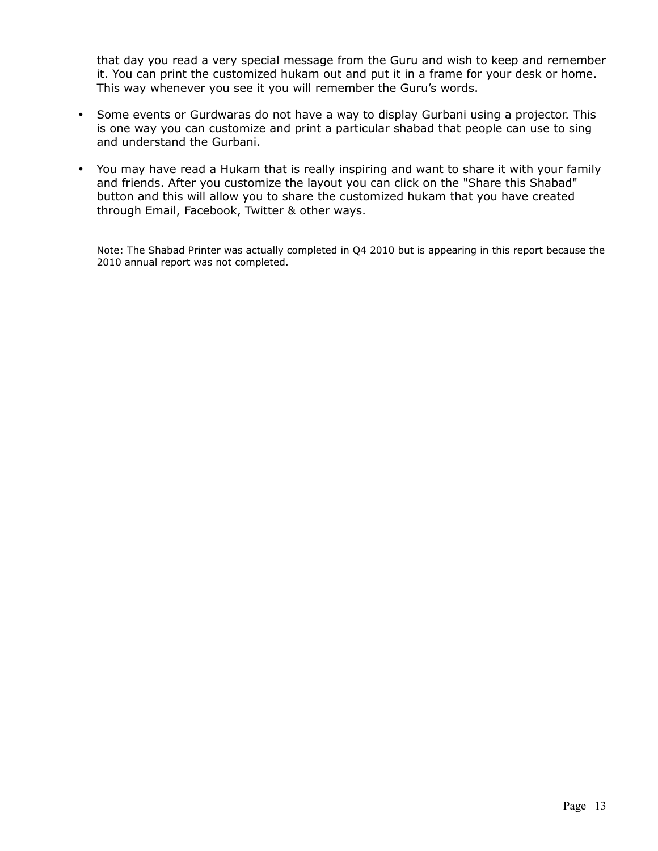that day you read a very special message from the Guru and wish to keep and remember it. You can print the customized hukam out and put it in a frame for your desk or home. This way whenever you see it you will remember the Guru's words.

- Some events or Gurdwaras do not have a way to display Gurbani using a projector. This is one way you can customize and print a particular shabad that people can use to sing and understand the Gurbani.
- You may have read a Hukam that is really inspiring and want to share it with your family and friends. After you customize the layout you can click on the "Share this Shabad" button and this will allow you to share the customized hukam that you have created through Email, Facebook, Twitter & other ways.

Note: The Shabad Printer was actually completed in Q4 2010 but is appearing in this report because the 2010 annual report was not completed.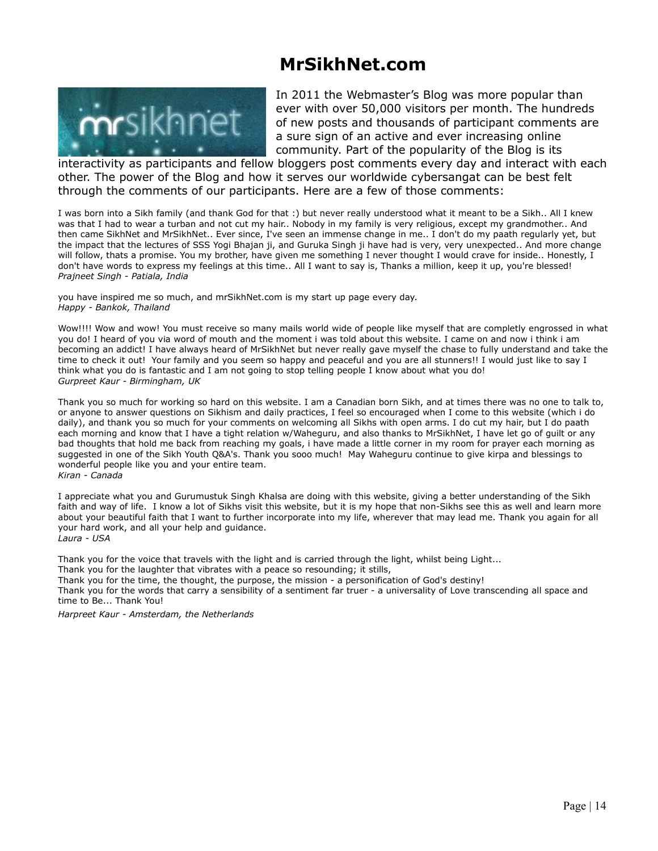## **MrSikhNet.com**



In 2011 the Webmaster's Blog was more popular than ever with over 50,000 visitors per month. The hundreds of new posts and thousands of participant comments are a sure sign of an active and ever increasing online community. Part of the popularity of the Blog is its

interactivity as participants and fellow bloggers post comments every day and interact with each other. The power of the Blog and how it serves our worldwide cybersangat can be best felt through the comments of our participants. Here are a few of those comments:

I was born into a Sikh family (and thank God for that :) but never really understood what it meant to be a Sikh.. All I knew was that I had to wear a turban and not cut my hair.. Nobody in my family is very religious, except my grandmother.. And then came SikhNet and MrSikhNet.. Ever since, I've seen an immense change in me.. I don't do my paath regularly yet, but the impact that the lectures of SSS Yogi Bhajan ji, and Guruka Singh ji have had is very, very unexpected.. And more change will follow, thats a promise. You my brother, have given me something I never thought I would crave for inside.. Honestly, I don't have words to express my feelings at this time.. All I want to say is, Thanks a million, keep it up, you're blessed! *Prajneet Singh - Patiala, India*

you have inspired me so much, and mrSikhNet.com is my start up page every day. *Happy - Bankok, Thailand*

Wow!!!! Wow and wow! You must receive so many mails world wide of people like myself that are completly engrossed in what you do! I heard of you via word of mouth and the moment i was told about this website. I came on and now i think i am becoming an addict! I have always heard of MrSikhNet but never really gave myself the chase to fully understand and take the time to check it out! Your family and you seem so happy and peaceful and you are all stunners!! I would just like to say I think what you do is fantastic and I am not going to stop telling people I know about what you do! *Gurpreet Kaur - Birmingham, UK*

Thank you so much for working so hard on this website. I am a Canadian born Sikh, and at times there was no one to talk to, or anyone to answer questions on Sikhism and daily practices, I feel so encouraged when I come to this website (which i do daily), and thank you so much for your comments on welcoming all Sikhs with open arms. I do cut my hair, but I do paath each morning and know that I have a tight relation w/Waheguru, and also thanks to MrSikhNet, I have let go of guilt or any bad thoughts that hold me back from reaching my goals, i have made a little corner in my room for prayer each morning as suggested in one of the Sikh Youth Q&A's. Thank you sooo much! May Waheguru continue to give kirpa and blessings to wonderful people like you and your entire team. *Kiran - Canada*

I appreciate what you and Gurumustuk Singh Khalsa are doing with this website, giving a better understanding of the Sikh faith and way of life. I know a lot of Sikhs visit this website, but it is my hope that non-Sikhs see this as well and learn more about your beautiful faith that I want to further incorporate into my life, wherever that may lead me. Thank you again for all your hard work, and all your help and guidance. *Laura - USA*

Thank you for the voice that travels with the light and is carried through the light, whilst being Light...

Thank you for the laughter that vibrates with a peace so resounding; it stills,

Thank you for the time, the thought, the purpose, the mission - a personification of God's destiny!

Thank you for the words that carry a sensibility of a sentiment far truer - a universality of Love transcending all space and time to Be... Thank You!

*Harpreet Kaur - Amsterdam, the Netherlands*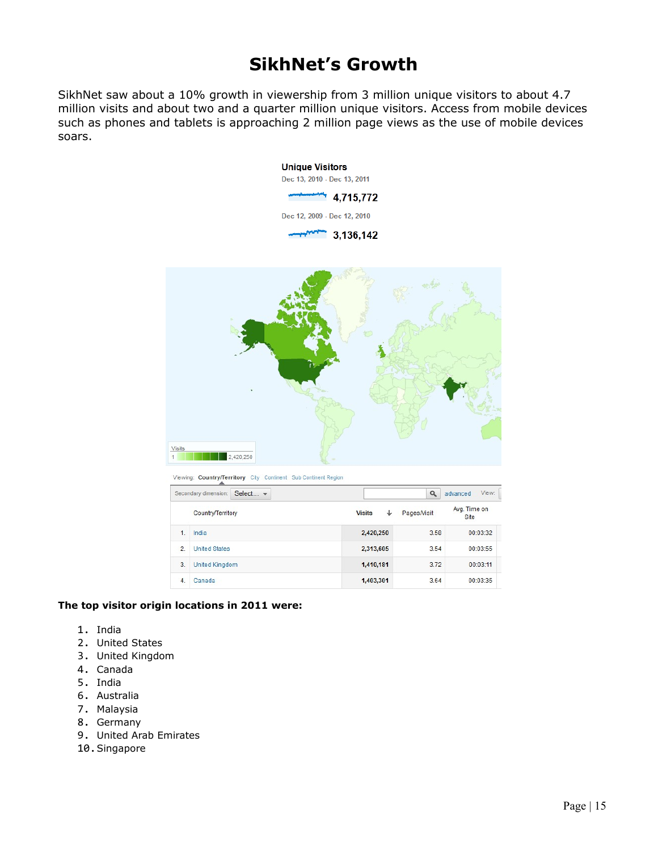### **SikhNet's Growth**

SikhNet saw about a 10% growth in viewership from 3 million unique visitors to about 4.7 million visits and about two and a quarter million unique visitors. Access from mobile devices such as phones and tablets is approaching 2 million page views as the use of mobile devices soars.



Viewing: Country/Territory City Continent Sub Continent Region

|                   | Secondary dimension: | Select - |                    | Q           | View:<br>advanced    |
|-------------------|----------------------|----------|--------------------|-------------|----------------------|
| Country/Territory |                      |          | ↓<br><b>Visits</b> | Pages/Visit | Avg. Time on<br>Site |
| $\overline{1}$    | India                |          | 2,420,250          | 3.58        | 00:03:32             |
| $\overline{2}$    | <b>United States</b> |          | 2,313,605          | 3.54        | 00:03:55             |
| 3.                | United Kingdom       |          | 1,410,181          | 3.72        | 00:03:11             |
| $\overline{4}$ .  | Canada               |          | 1,403,301          | 3.64        | 00:03:35             |

#### **The top visitor origin locations in 2011 were:**

- 1. India
- 2. United States
- 3. United Kingdom
- 4. Canada
- 5. India
- 6. Australia
- 7. Malaysia
- 8. Germany
- 9. United Arab Emirates
- 10.Singapore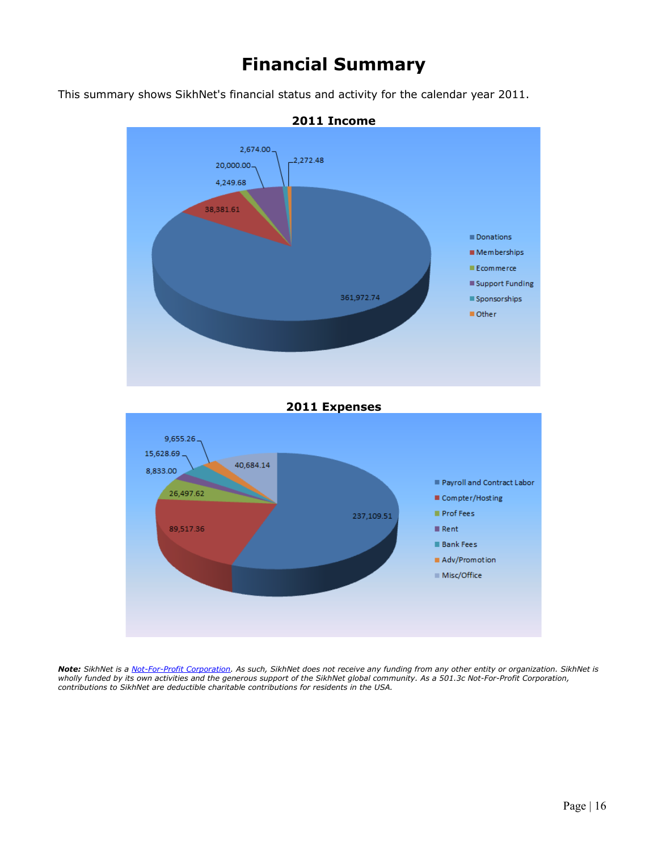## **Financial Summary**

This summary shows SikhNet's financial status and activity for the calendar year 2011.





*Note: SikhNet is a [Not-For-Profit Corporation.](http://www2.guidestar.org/organizations/26-4806284/sikhnet.aspx) As such, SikhNet does not receive any funding from any other entity or organization. SikhNet is wholly funded by its own activities and the generous support of the SikhNet global community. As a 501.3c Not-For-Profit Corporation, contributions to SikhNet are deductible charitable contributions for residents in the USA.*